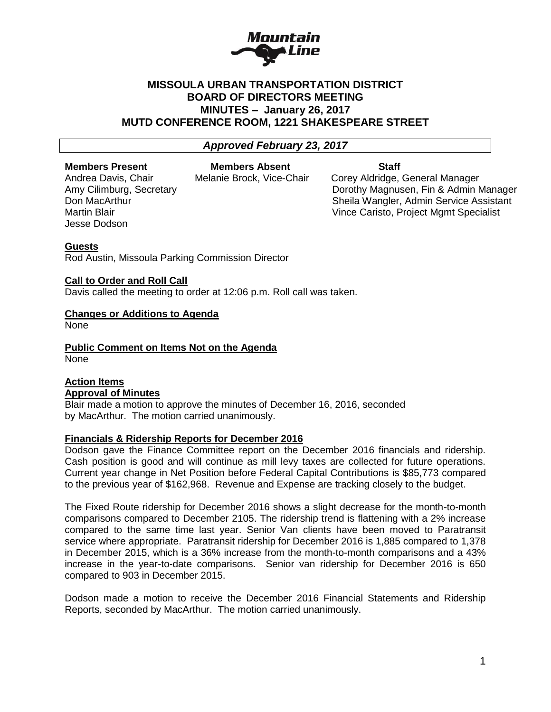

# **MISSOULA URBAN TRANSPORTATION DISTRICT BOARD OF DIRECTORS MEETING MINUTES – January 26, 2017 MUTD CONFERENCE ROOM, 1221 SHAKESPEARE STREET**

## *Approved February 23, 2017*

#### **Members Present Members Absent Staff**

Jesse Dodson

Andrea Davis, Chair Melanie Brock, Vice-Chair Corey Aldridge, General Manager Amy Cilimburg, Secretary Dorothy Magnusen, Fin & Admin Manager Don MacArthur Sheila Wangler, Admin Service Assistant Martin Blair Martin Blair Martin Blair News Assembly Martin Blair Controller Martin Blair Muscle of Martin Blair

## **Guests**

Rod Austin, Missoula Parking Commission Director

## **Call to Order and Roll Call**

Davis called the meeting to order at 12:06 p.m. Roll call was taken.

## **Changes or Additions to Agenda**

None

**Public Comment on Items Not on the Agenda** None

## **Action Items Approval of Minutes**

Blair made a motion to approve the minutes of December 16, 2016, seconded by MacArthur. The motion carried unanimously.

#### **Financials & Ridership Reports for December 2016**

Dodson gave the Finance Committee report on the December 2016 financials and ridership. Cash position is good and will continue as mill levy taxes are collected for future operations. Current year change in Net Position before Federal Capital Contributions is \$85,773 compared to the previous year of \$162,968. Revenue and Expense are tracking closely to the budget.

The Fixed Route ridership for December 2016 shows a slight decrease for the month-to-month comparisons compared to December 2105. The ridership trend is flattening with a 2% increase compared to the same time last year. Senior Van clients have been moved to Paratransit service where appropriate. Paratransit ridership for December 2016 is 1,885 compared to 1,378 in December 2015, which is a 36% increase from the month-to-month comparisons and a 43% increase in the year-to-date comparisons. Senior van ridership for December 2016 is 650 compared to 903 in December 2015.

Dodson made a motion to receive the December 2016 Financial Statements and Ridership Reports, seconded by MacArthur. The motion carried unanimously.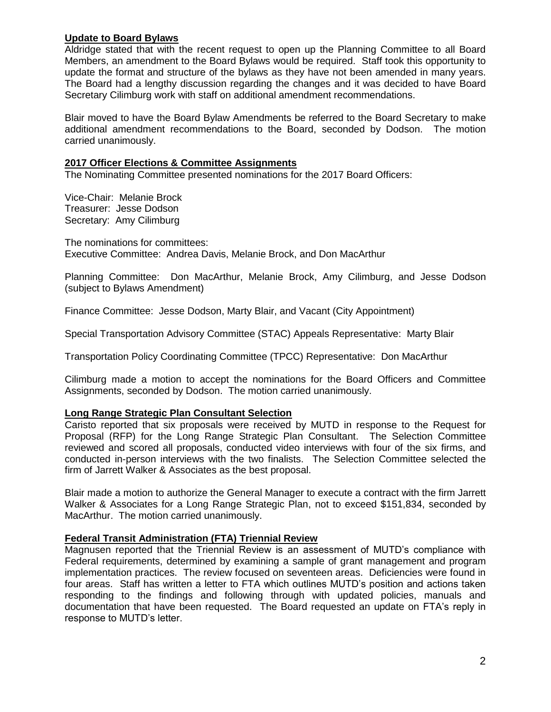## **Update to Board Bylaws**

Aldridge stated that with the recent request to open up the Planning Committee to all Board Members, an amendment to the Board Bylaws would be required. Staff took this opportunity to update the format and structure of the bylaws as they have not been amended in many years. The Board had a lengthy discussion regarding the changes and it was decided to have Board Secretary Cilimburg work with staff on additional amendment recommendations.

Blair moved to have the Board Bylaw Amendments be referred to the Board Secretary to make additional amendment recommendations to the Board, seconded by Dodson. The motion carried unanimously.

## **2017 Officer Elections & Committee Assignments**

The Nominating Committee presented nominations for the 2017 Board Officers:

Vice-Chair: Melanie Brock Treasurer: Jesse Dodson Secretary: Amy Cilimburg

The nominations for committees: Executive Committee: Andrea Davis, Melanie Brock, and Don MacArthur

Planning Committee: Don MacArthur, Melanie Brock, Amy Cilimburg, and Jesse Dodson (subject to Bylaws Amendment)

Finance Committee: Jesse Dodson, Marty Blair, and Vacant (City Appointment)

Special Transportation Advisory Committee (STAC) Appeals Representative: Marty Blair

Transportation Policy Coordinating Committee (TPCC) Representative: Don MacArthur

Cilimburg made a motion to accept the nominations for the Board Officers and Committee Assignments, seconded by Dodson. The motion carried unanimously.

#### **Long Range Strategic Plan Consultant Selection**

Caristo reported that six proposals were received by MUTD in response to the Request for Proposal (RFP) for the Long Range Strategic Plan Consultant. The Selection Committee reviewed and scored all proposals, conducted video interviews with four of the six firms, and conducted in-person interviews with the two finalists. The Selection Committee selected the firm of Jarrett Walker & Associates as the best proposal.

Blair made a motion to authorize the General Manager to execute a contract with the firm Jarrett Walker & Associates for a Long Range Strategic Plan, not to exceed \$151,834, seconded by MacArthur. The motion carried unanimously.

## **Federal Transit Administration (FTA) Triennial Review**

Magnusen reported that the Triennial Review is an assessment of MUTD's compliance with Federal requirements, determined by examining a sample of grant management and program implementation practices. The review focused on seventeen areas. Deficiencies were found in four areas. Staff has written a letter to FTA which outlines MUTD's position and actions taken responding to the findings and following through with updated policies, manuals and documentation that have been requested. The Board requested an update on FTA's reply in response to MUTD's letter.